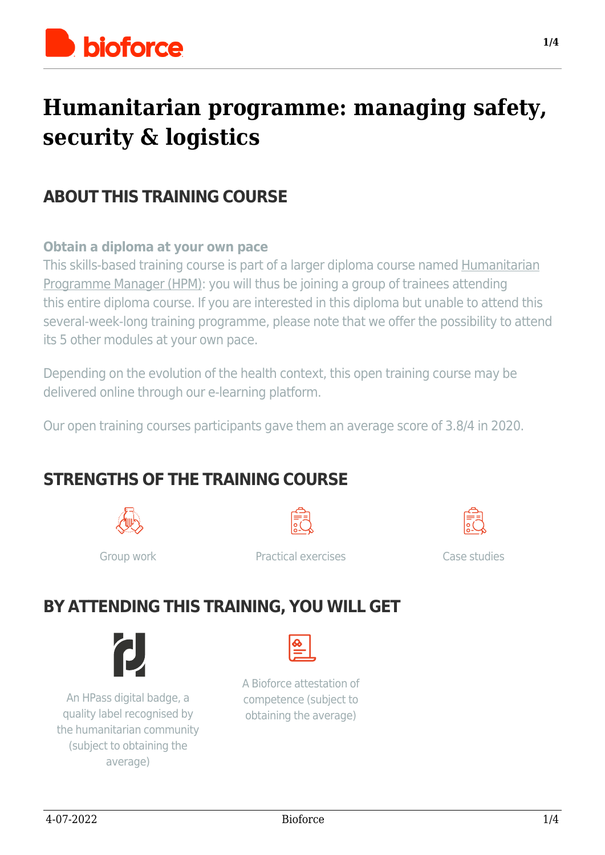

## **Humanitarian programme: managing safety, security & logistics**

## **ABOUT THIS TRAINING COURSE**

#### **Obtain a diploma at your own pace**

This skills-based training course is part of a larger diploma course named [Humanitarian](https://www.bioforce.org/formation/humanitarian-programme-manager/) [Programme Manager \(HPM\):](https://www.bioforce.org/formation/humanitarian-programme-manager/) you will thus be joining a group of trainees attending this entire diploma course. If you are interested in this diploma but unable to attend this several-week-long training programme, please note that we offer the possibility to attend its 5 other modules at your own pace.

Depending on the evolution of the health context, this open training course may be delivered online through our e-learning platform.

Our open training courses participants gave them an average score of 3.8/4 in 2020.

## **STRENGTHS OF THE TRAINING COURSE**







Group work **Practical exercises** Case studies

## **BY ATTENDING THIS TRAINING, YOU WILL GET**



An HPass digital badge, a quality label recognised by the humanitarian community (subject to obtaining the average)



A Bioforce attestation of competence (subject to obtaining the average)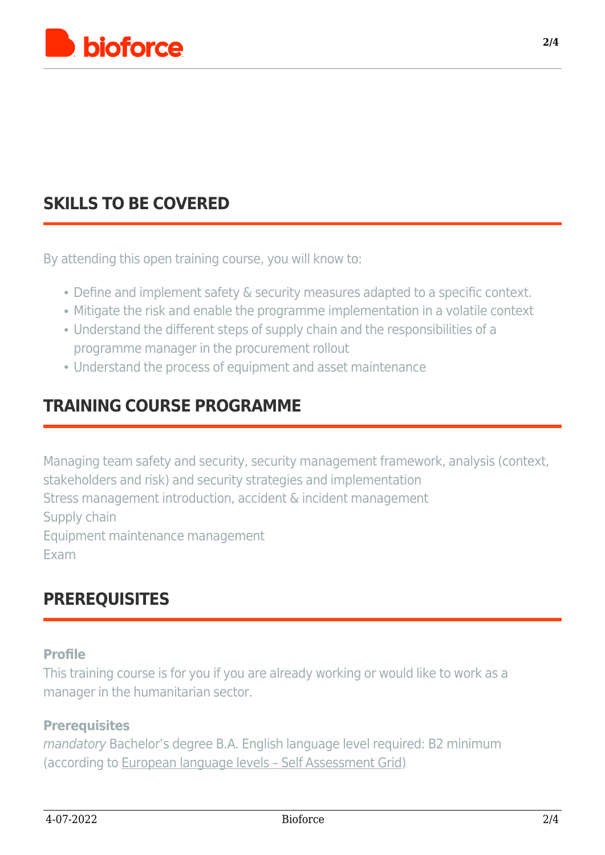

## **[SKILLS TO BE COVERED](#page--1-0)**

By attending this open training course, you will know to:

- Define and implement safety & security measures adapted to a specific context.
- Mitigate the risk and enable the programme implementation in a volatile context
- Understand the different steps of supply chain and the responsibilities of a programme manager in the procurement rollout
- Understand the process of equipment and asset maintenance

## **[TRAINING COURSE PROGRAMME](#page--1-0)**

Managing team safety and security, security management framework, analysis (context, stakeholders and risk) and security strategies and implementation Stress management introduction, accident & incident management Supply chain Equipment maintenance management Exam

## **[PREREQUISITES](#page--1-0)**

#### **Profile**

This training course is for you if you are already working or would like to work as a manager in the humanitarian sector.

#### **Prerequisites**

mandatory Bachelor's degree B.A. English language level required: B2 minimum (according to [European language levels – Self Assessment Grid](https://europass.cedefop.europa.eu/resources/european-language-levels-cefr))

**2/4**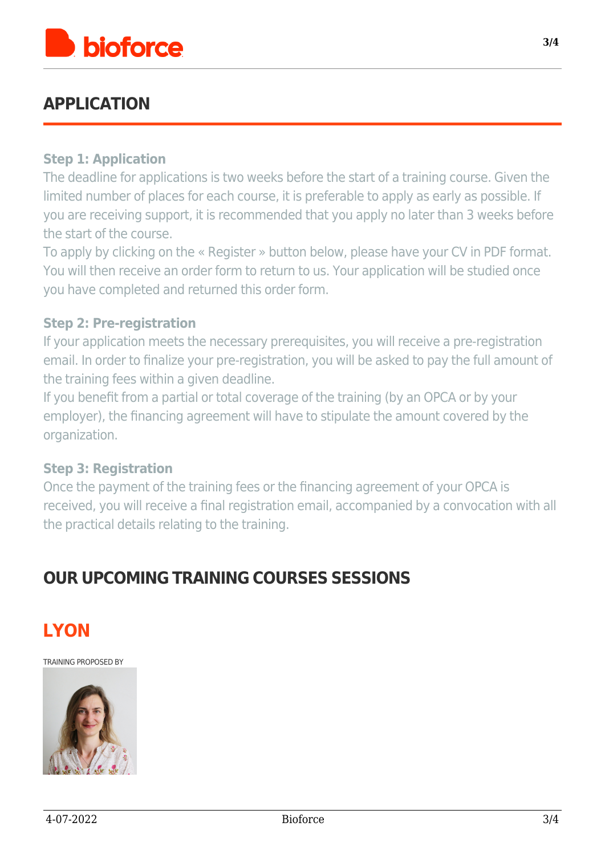

## **[APPLICATION](#page--1-0)**

#### **Step 1: Application**

The deadline for applications is two weeks before the start of a training course. Given the limited number of places for each course, it is preferable to apply as early as possible. If you are receiving support, it is recommended that you apply no later than 3 weeks before the start of the course.

To apply by clicking on the « Register » button below, please have your CV in PDF format. You will then receive an order form to return to us. Your application will be studied once you have completed and returned this order form.

#### **Step 2: Pre-registration**

If your application meets the necessary prerequisites, you will receive a pre-registration email. In order to finalize your pre-registration, you will be asked to pay the full amount of the training fees within a given deadline.

If you benefit from a partial or total coverage of the training (by an OPCA or by your employer), the financing agreement will have to stipulate the amount covered by the organization.

#### **Step 3: Registration**

Once the payment of the training fees or the financing agreement of your OPCA is received, you will receive a final registration email, accompanied by a convocation with all the practical details relating to the training.

### **OUR UPCOMING TRAINING COURSES SESSIONS**



TRAINING PROPOSED BY